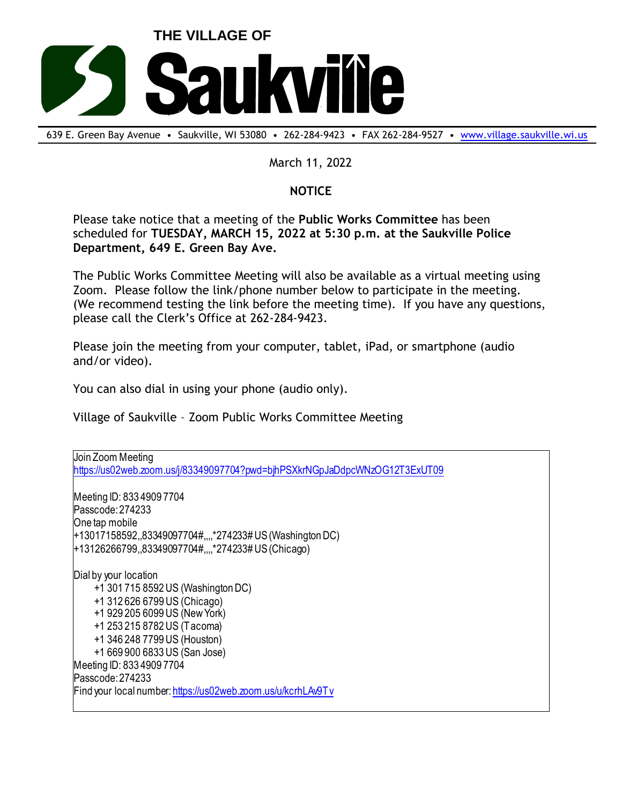

639 E. Green Bay Avenue • Saukville, WI 53080 • 262-284-9423 • FAX 262-284-9527 • [www.village.saukville.wi.us](http://www.village.saukville.wi.us/)

## March 11, 2022

## **NOTICE**

Please take notice that a meeting of the **Public Works Committee** has been scheduled for **TUESDAY, MARCH 15, 2022 at 5:30 p.m. at the Saukville Police Department, 649 E. Green Bay Ave.**

The Public Works Committee Meeting will also be available as a virtual meeting using Zoom. Please follow the link/phone number below to participate in the meeting. (We recommend testing the link before the meeting time). If you have any questions, please call the Clerk's Office at 262-284-9423.

Please join the meeting from your computer, tablet, iPad, or smartphone (audio and/or video).

You can also dial in using your phone (audio only).

Village of Saukville – Zoom Public Works Committee Meeting

Join Zoom Meeting https://us02web.zoom.us/j/83349097704?pwd=bjhPSXkrNGpJaDdpcWNzOG12T3ExUT09 Meeting ID: 833 4909 7704 Passcode: 274233 One tap mobile +13017158592,,83349097704#,,,,\*274233# US (Washington DC) +13126266799,,83349097704#,,,,\*274233# US (Chicago) Dial by your location +1 301 715 8592 US (Washington DC) +1 312 626 6799 US (Chicago) +1 929 205 6099 US (New York) +1 253 215 8782 US (Tacoma) +1 346 248 7799 US (Houston) +1 669 900 6833 US (San Jose) Meeting ID: 833 4909 7704 Passcode: 274233 Find your local number: https://us02web.zoom.us/u/kcrhLAv9Tv